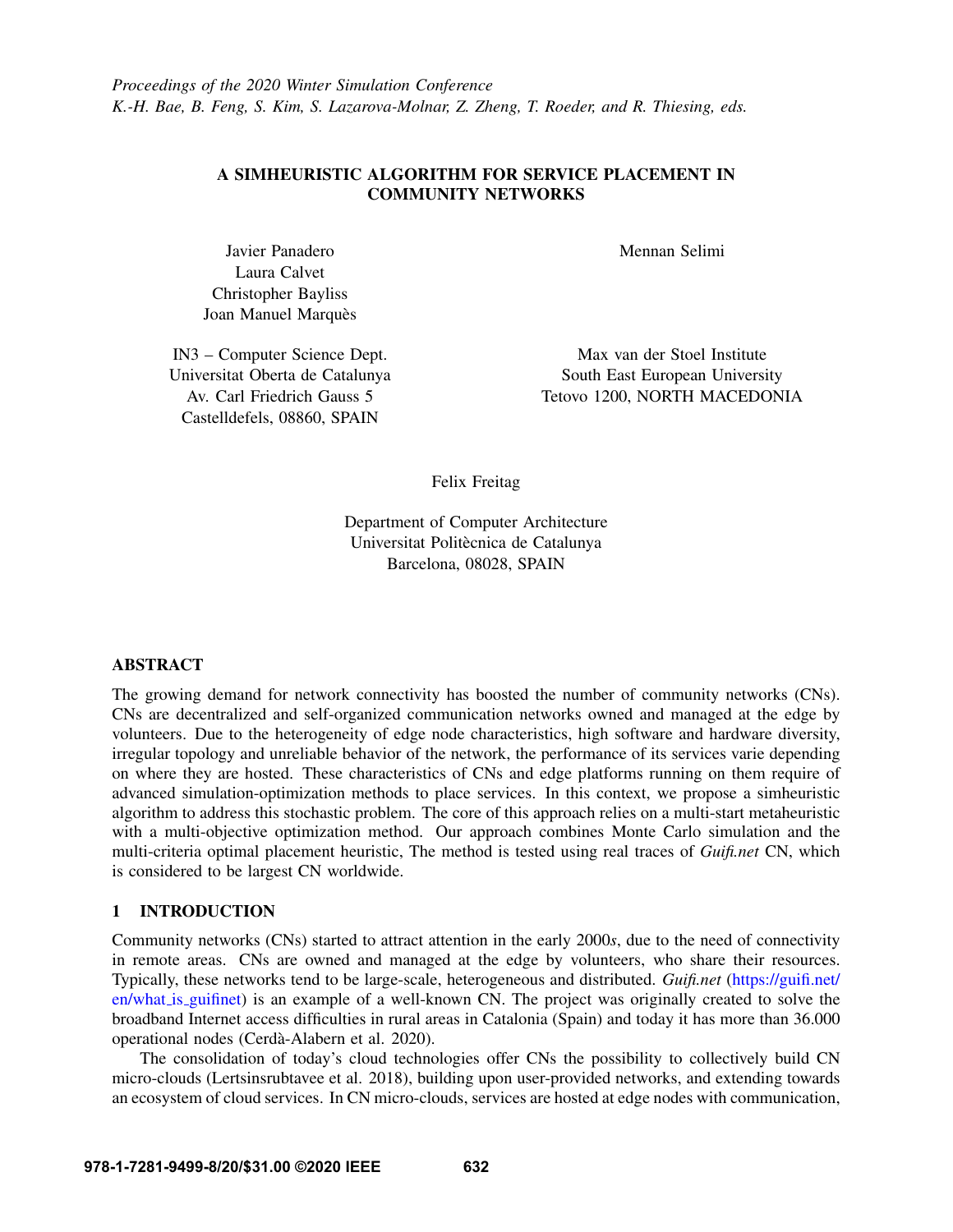# A SIMHEURISTIC ALGORITHM FOR SERVICE PLACEMENT IN COMMUNITY NETWORKS

Javier Panadero Laura Calvet Christopher Bayliss Joan Manuel Marquès

IN3 – Computer Science Dept. Universitat Oberta de Catalunya Av. Carl Friedrich Gauss 5 Castelldefels, 08860, SPAIN

Mennan Selimi

Max van der Stoel Institute South East European University Tetovo 1200, NORTH MACEDONIA

Felix Freitag

Department of Computer Architecture Universitat Politècnica de Catalunya Barcelona, 08028, SPAIN

## ABSTRACT

The growing demand for network connectivity has boosted the number of community networks (CNs). CNs are decentralized and self-organized communication networks owned and managed at the edge by volunteers. Due to the heterogeneity of edge node characteristics, high software and hardware diversity, irregular topology and unreliable behavior of the network, the performance of its services varie depending on where they are hosted. These characteristics of CNs and edge platforms running on them require of advanced simulation-optimization methods to place services. In this context, we propose a simheuristic algorithm to address this stochastic problem. The core of this approach relies on a multi-start metaheuristic with a multi-objective optimization method. Our approach combines Monte Carlo simulation and the multi-criteria optimal placement heuristic, The method is tested using real traces of *Guifi.net* CN, which is considered to be largest CN worldwide.

## 1 INTRODUCTION

Community networks (CNs) started to attract attention in the early 2000*s*, due to the need of connectivity in remote areas. CNs are owned and managed at the edge by volunteers, who share their resources. Typically, these networks tend to be large-scale, heterogeneous and distributed. *Guifi.net* [\(https://guifi.net/](https://guifi.net/en/what_is_guifinet) [en/what](https://guifi.net/en/what_is_guifinet) is guifinet) is an example of a well-known CN. The project was originally created to solve the broadband Internet access difficulties in rural areas in Catalonia (Spain) and today it has more than 36.000 operational nodes (Cerdà-Alabern et al. 2020).

The consolidation of today's cloud technologies offer CNs the possibility to collectively build CN micro-clouds [\(Lertsinsrubtavee et al. 2018\)](#page-10-1), building upon user-provided networks, and extending towards an ecosystem of cloud services. In CN micro-clouds, services are hosted at edge nodes with communication,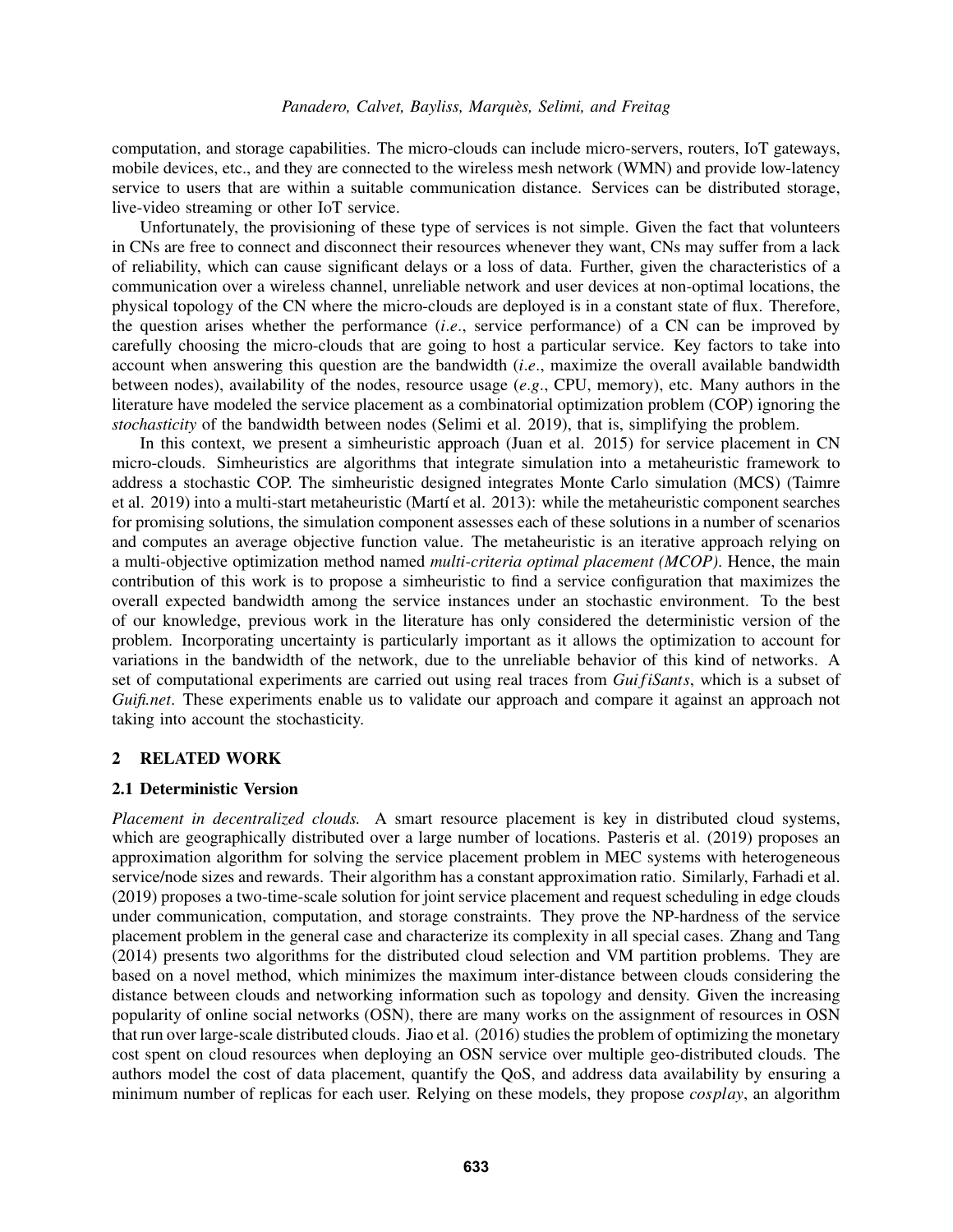computation, and storage capabilities. The micro-clouds can include micro-servers, routers, IoT gateways, mobile devices, etc., and they are connected to the wireless mesh network (WMN) and provide low-latency service to users that are within a suitable communication distance. Services can be distributed storage, live-video streaming or other IoT service.

Unfortunately, the provisioning of these type of services is not simple. Given the fact that volunteers in CNs are free to connect and disconnect their resources whenever they want, CNs may suffer from a lack of reliability, which can cause significant delays or a loss of data. Further, given the characteristics of a communication over a wireless channel, unreliable network and user devices at non-optimal locations, the physical topology of the CN where the micro-clouds are deployed is in a constant state of flux. Therefore, the question arises whether the performance (*i*.*e*., service performance) of a CN can be improved by carefully choosing the micro-clouds that are going to host a particular service. Key factors to take into account when answering this question are the bandwidth (*i*.*e*., maximize the overall available bandwidth between nodes), availability of the nodes, resource usage (*e*.*g*., CPU, memory), etc. Many authors in the literature have modeled the service placement as a combinatorial optimization problem (COP) ignoring the *stochasticity* of the bandwidth between nodes [\(Selimi et al. 2019\)](#page-10-2), that is, simplifying the problem.

In this context, we present a simheuristic approach [\(Juan et al. 2015\)](#page-10-3) for service placement in CN micro-clouds. Simheuristics are algorithms that integrate simulation into a metaheuristic framework to address a stochastic COP. The simheuristic designed integrates Monte Carlo simulation (MCS) [\(Taimre](#page-11-0) [et al. 2019\)](#page-11-0) into a multi-start metaheuristic (Martí et al. 2013): while the metaheuristic component searches for promising solutions, the simulation component assesses each of these solutions in a number of scenarios and computes an average objective function value. The metaheuristic is an iterative approach relying on a multi-objective optimization method named *multi-criteria optimal placement (MCOP)*. Hence, the main contribution of this work is to propose a simheuristic to find a service configuration that maximizes the overall expected bandwidth among the service instances under an stochastic environment. To the best of our knowledge, previous work in the literature has only considered the deterministic version of the problem. Incorporating uncertainty is particularly important as it allows the optimization to account for variations in the bandwidth of the network, due to the unreliable behavior of this kind of networks. A set of computational experiments are carried out using real traces from *Gui fiSants*, which is a subset of *Guifi.net*. These experiments enable us to validate our approach and compare it against an approach not taking into account the stochasticity.

### 2 RELATED WORK

### 2.1 Deterministic Version

*Placement in decentralized clouds.* A smart resource placement is key in distributed cloud systems, which are geographically distributed over a large number of locations. [Pasteris et al. \(2019\)](#page-10-5) proposes an approximation algorithm for solving the service placement problem in MEC systems with heterogeneous service/node sizes and rewards. Their algorithm has a constant approximation ratio. Similarly, [Farhadi et al.](#page-10-6) [\(2019\)](#page-10-6) proposes a two-time-scale solution for joint service placement and request scheduling in edge clouds under communication, computation, and storage constraints. They prove the NP-hardness of the service placement problem in the general case and characterize its complexity in all special cases. [Zhang and Tang](#page-11-1) [\(2014\)](#page-11-1) presents two algorithms for the distributed cloud selection and VM partition problems. They are based on a novel method, which minimizes the maximum inter-distance between clouds considering the distance between clouds and networking information such as topology and density. Given the increasing popularity of online social networks (OSN), there are many works on the assignment of resources in OSN that run over large-scale distributed clouds. [Jiao et al. \(2016\)](#page-10-7) studies the problem of optimizing the monetary cost spent on cloud resources when deploying an OSN service over multiple geo-distributed clouds. The authors model the cost of data placement, quantify the QoS, and address data availability by ensuring a minimum number of replicas for each user. Relying on these models, they propose *cosplay*, an algorithm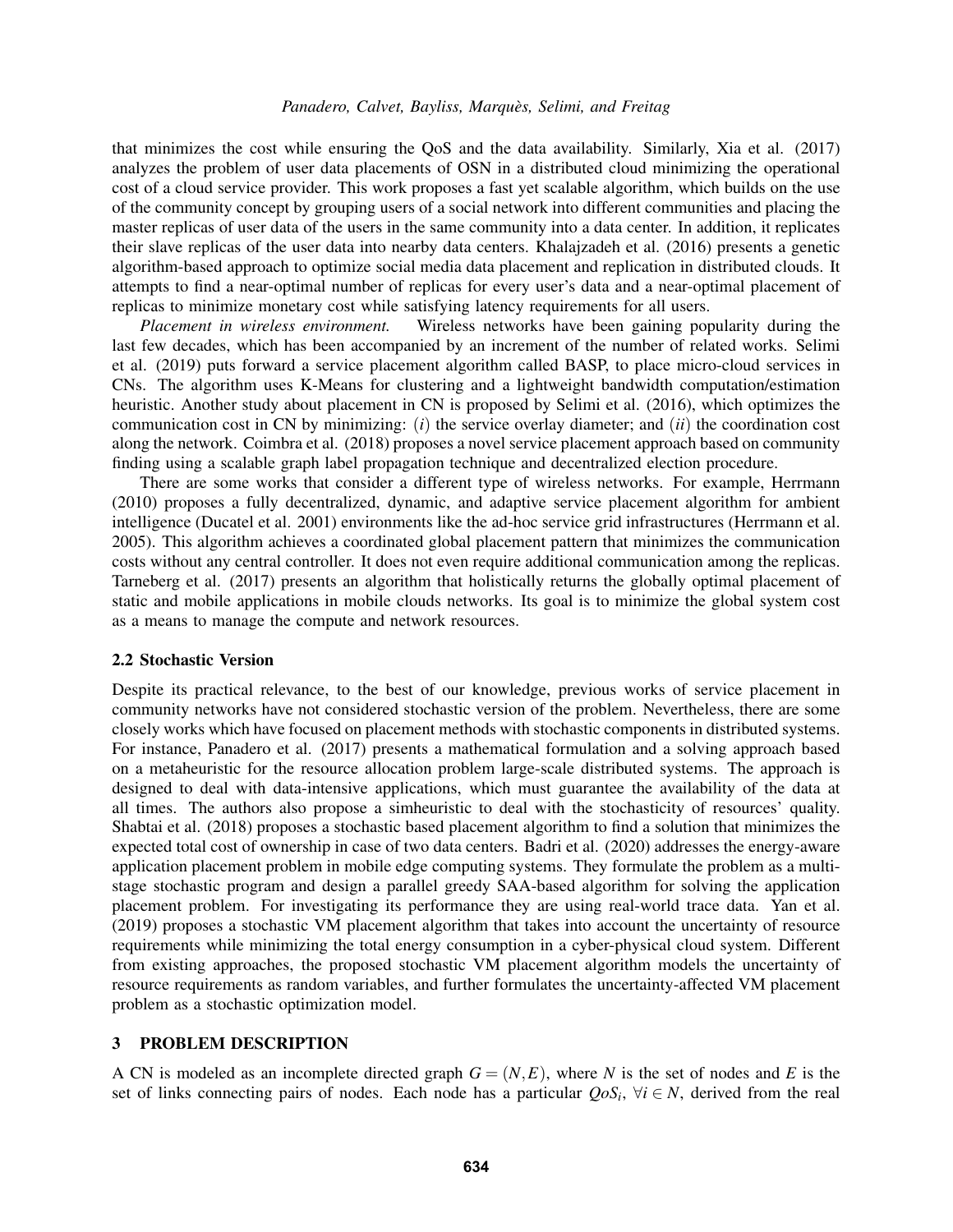that minimizes the cost while ensuring the QoS and the data availability. Similarly, [Xia et al. \(2017\)](#page-11-2) analyzes the problem of user data placements of OSN in a distributed cloud minimizing the operational cost of a cloud service provider. This work proposes a fast yet scalable algorithm, which builds on the use of the community concept by grouping users of a social network into different communities and placing the master replicas of user data of the users in the same community into a data center. In addition, it replicates their slave replicas of the user data into nearby data centers. [Khalajzadeh et al. \(2016\)](#page-10-8) presents a genetic algorithm-based approach to optimize social media data placement and replication in distributed clouds. It attempts to find a near-optimal number of replicas for every user's data and a near-optimal placement of replicas to minimize monetary cost while satisfying latency requirements for all users.

*Placement in wireless environment.* Wireless networks have been gaining popularity during the last few decades, which has been accompanied by an increment of the number of related works. [Selimi](#page-10-2) [et al. \(2019\)](#page-10-2) puts forward a service placement algorithm called BASP, to place micro-cloud services in CNs. The algorithm uses K-Means for clustering and a lightweight bandwidth computation/estimation heuristic. Another study about placement in CN is proposed by [Selimi et al. \(2016\),](#page-10-9) which optimizes the communication cost in CN by minimizing: (*i*) the service overlay diameter; and (*ii*) the coordination cost along the network. [Coimbra et al. \(2018\)](#page-10-10) proposes a novel service placement approach based on community finding using a scalable graph label propagation technique and decentralized election procedure.

There are some works that consider a different type of wireless networks. For example, [Herrmann](#page-10-11) [\(2010\)](#page-10-11) proposes a fully decentralized, dynamic, and adaptive service placement algorithm for ambient intelligence [\(Ducatel et al. 2001\)](#page-10-12) environments like the ad-hoc service grid infrastructures [\(Herrmann et al.](#page-10-13) [2005\)](#page-10-13). This algorithm achieves a coordinated global placement pattern that minimizes the communication costs without any central controller. It does not even require additional communication among the replicas. [Tarneberg et al. \(2017\)](#page-11-3) presents an algorithm that holistically returns the globally optimal placement of static and mobile applications in mobile clouds networks. Its goal is to minimize the global system cost as a means to manage the compute and network resources.

### 2.2 Stochastic Version

Despite its practical relevance, to the best of our knowledge, previous works of service placement in community networks have not considered stochastic version of the problem. Nevertheless, there are some closely works which have focused on placement methods with stochastic components in distributed systems. For instance, [Panadero et al. \(2017\)](#page-10-14) presents a mathematical formulation and a solving approach based on a metaheuristic for the resource allocation problem large-scale distributed systems. The approach is designed to deal with data-intensive applications, which must guarantee the availability of the data at all times. The authors also propose a simheuristic to deal with the stochasticity of resources' quality. [Shabtai et al. \(2018\)](#page-10-15) proposes a stochastic based placement algorithm to find a solution that minimizes the expected total cost of ownership in case of two data centers. [Badri et al. \(2020\)](#page-10-16) addresses the energy-aware application placement problem in mobile edge computing systems. They formulate the problem as a multistage stochastic program and design a parallel greedy SAA-based algorithm for solving the application placement problem. For investigating its performance they are using real-world trace data. [Yan et al.](#page-11-4) [\(2019\)](#page-11-4) proposes a stochastic VM placement algorithm that takes into account the uncertainty of resource requirements while minimizing the total energy consumption in a cyber-physical cloud system. Different from existing approaches, the proposed stochastic VM placement algorithm models the uncertainty of resource requirements as random variables, and further formulates the uncertainty-affected VM placement problem as a stochastic optimization model.

# 3 PROBLEM DESCRIPTION

A CN is modeled as an incomplete directed graph  $G = (N, E)$ , where N is the set of nodes and E is the set of links connecting pairs of nodes. Each node has a particular  $Q \circ S_i$ ,  $\forall i \in \mathbb{N}$ , derived from the real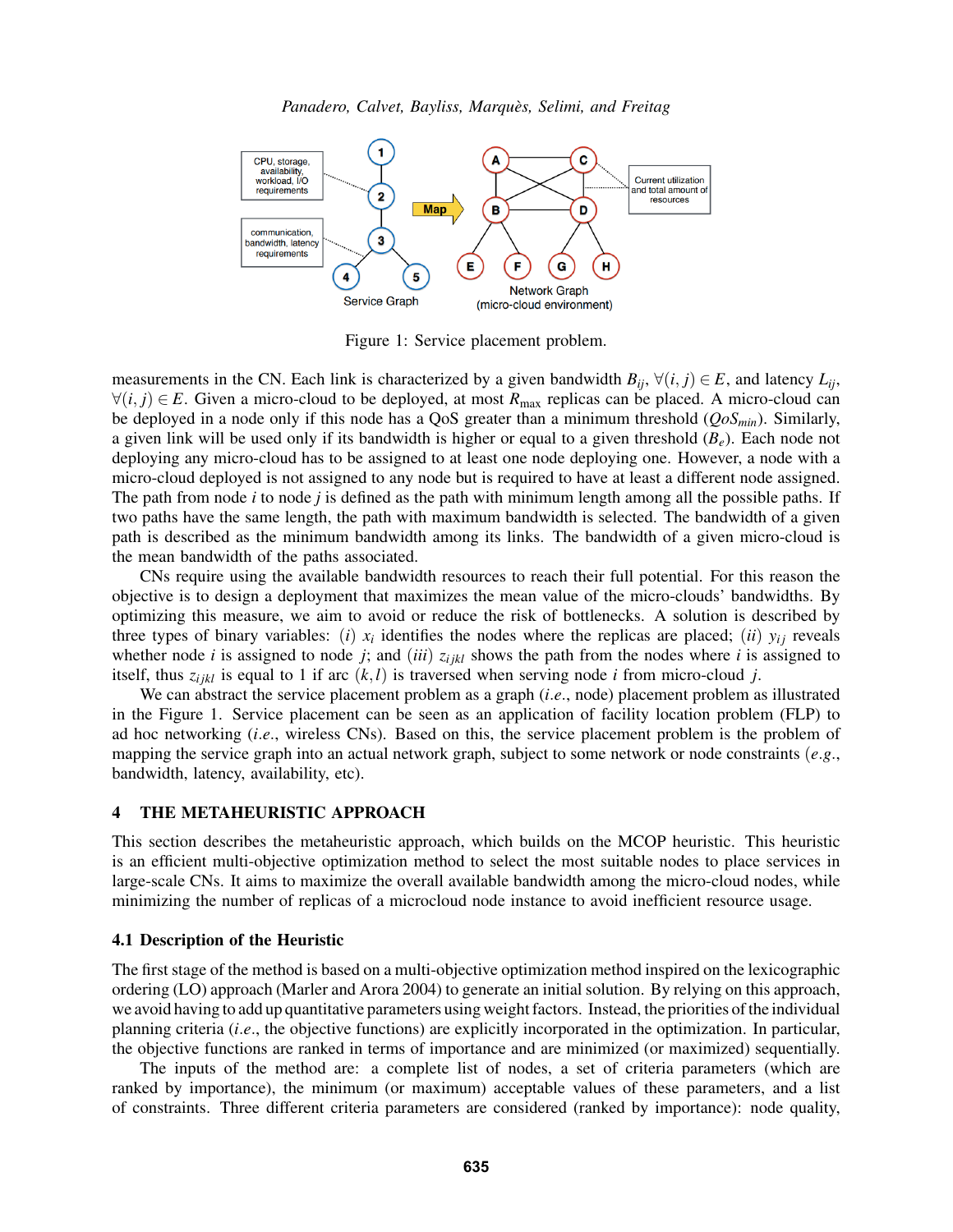

<span id="page-3-0"></span>Figure 1: Service placement problem.

measurements in the CN. Each link is characterized by a given bandwidth  $B_{ij}$ ,  $\forall (i, j) \in E$ , and latency  $L_{ij}$ , ∀(*i*, *j*) ∈ *E*. Given a micro-cloud to be deployed, at most *R*max replicas can be placed. A micro-cloud can be deployed in a node only if this node has a QoS greater than a minimum threshold (*QoSmin*). Similarly, a given link will be used only if its bandwidth is higher or equal to a given threshold  $(B_e)$ . Each node not deploying any micro-cloud has to be assigned to at least one node deploying one. However, a node with a micro-cloud deployed is not assigned to any node but is required to have at least a different node assigned. The path from node *i* to node *j* is defined as the path with minimum length among all the possible paths. If two paths have the same length, the path with maximum bandwidth is selected. The bandwidth of a given path is described as the minimum bandwidth among its links. The bandwidth of a given micro-cloud is the mean bandwidth of the paths associated.

CNs require using the available bandwidth resources to reach their full potential. For this reason the objective is to design a deployment that maximizes the mean value of the micro-clouds' bandwidths. By optimizing this measure, we aim to avoid or reduce the risk of bottlenecks. A solution is described by three types of binary variables: (*i*)  $x_i$  identifies the nodes where the replicas are placed; (*ii*)  $y_{ij}$  reveals whether node *i* is assigned to node *j*; and (*iii*)  $z_{ijkl}$  shows the path from the nodes where *i* is assigned to itself, thus  $z_{ijkl}$  is equal to 1 if arc  $(k, l)$  is traversed when serving node *i* from micro-cloud *j*.

We can abstract the service placement problem as a graph (*i*.*e*., node) placement problem as illustrated in the Figure [1.](#page-3-0) Service placement can be seen as an application of facility location problem (FLP) to ad hoc networking (*i*.*e*., wireless CNs). Based on this, the service placement problem is the problem of mapping the service graph into an actual network graph, subject to some network or node constraints (*e*.*g*., bandwidth, latency, availability, etc).

## 4 THE METAHEURISTIC APPROACH

This section describes the metaheuristic approach, which builds on the MCOP heuristic. This heuristic is an efficient multi-objective optimization method to select the most suitable nodes to place services in large-scale CNs. It aims to maximize the overall available bandwidth among the micro-cloud nodes, while minimizing the number of replicas of a microcloud node instance to avoid inefficient resource usage.

## 4.1 Description of the Heuristic

The first stage of the method is based on a multi-objective optimization method inspired on the lexicographic ordering (LO) approach [\(Marler and Arora 2004\)](#page-10-17) to generate an initial solution. By relying on this approach, we avoid having to add up quantitative parameters using weight factors. Instead, the priorities of the individual planning criteria (*i*.*e*., the objective functions) are explicitly incorporated in the optimization. In particular, the objective functions are ranked in terms of importance and are minimized (or maximized) sequentially.

The inputs of the method are: a complete list of nodes, a set of criteria parameters (which are ranked by importance), the minimum (or maximum) acceptable values of these parameters, and a list of constraints. Three different criteria parameters are considered (ranked by importance): node quality,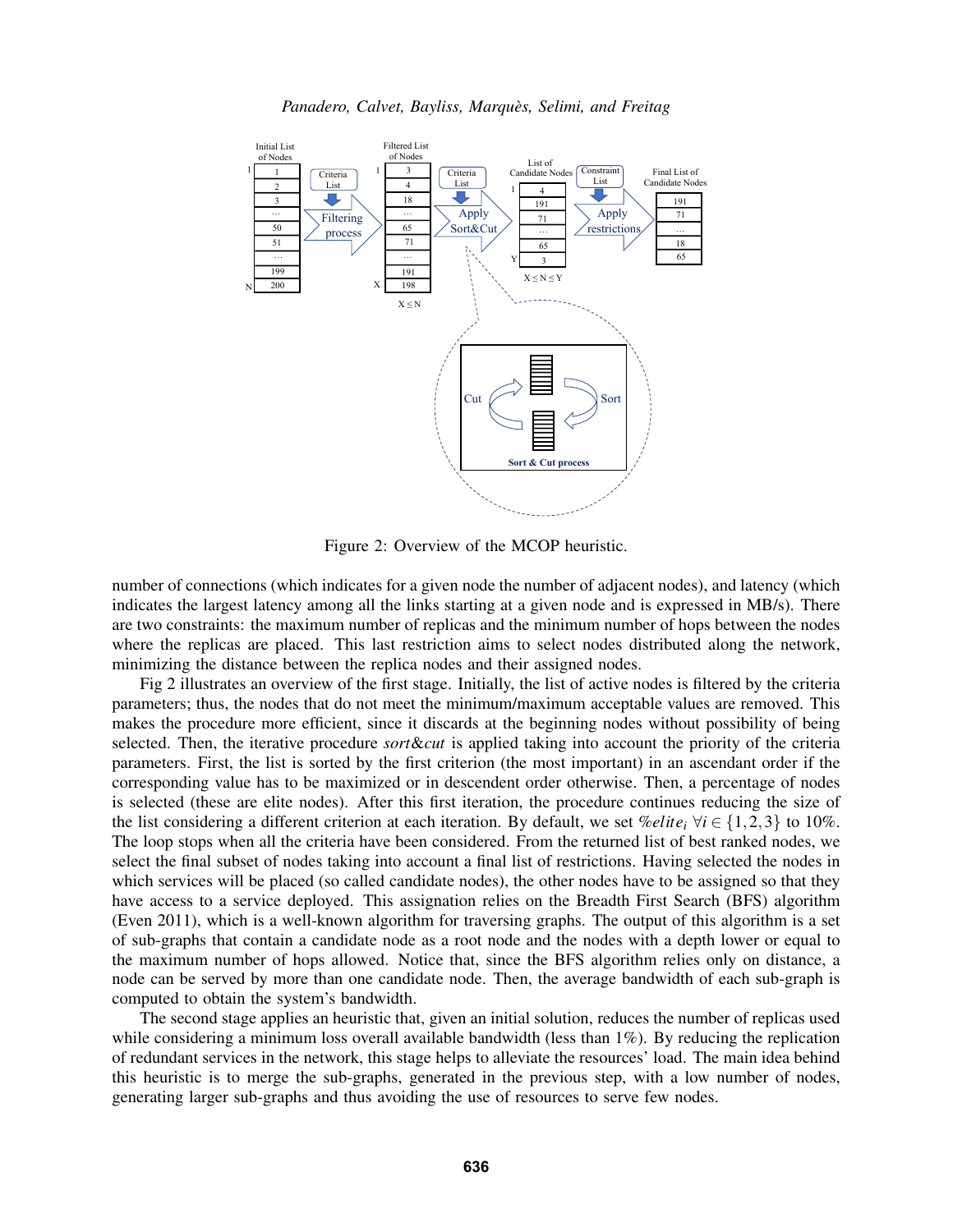

<span id="page-4-0"></span>Figure 2: Overview of the MCOP heuristic.

number of connections (which indicates for a given node the number of adjacent nodes), and latency (which indicates the largest latency among all the links starting at a given node and is expressed in MB/s). There are two constraints: the maximum number of replicas and the minimum number of hops between the nodes where the replicas are placed. This last restriction aims to select nodes distributed along the network, minimizing the distance between the replica nodes and their assigned nodes.

Fig [2](#page-4-0) illustrates an overview of the first stage. Initially, the list of active nodes is filtered by the criteria parameters; thus, the nodes that do not meet the minimum/maximum acceptable values are removed. This makes the procedure more efficient, since it discards at the beginning nodes without possibility of being selected. Then, the iterative procedure *sort*&*cut* is applied taking into account the priority of the criteria parameters. First, the list is sorted by the first criterion (the most important) in an ascendant order if the corresponding value has to be maximized or in descendent order otherwise. Then, a percentage of nodes is selected (these are elite nodes). After this first iteration, the procedure continues reducing the size of the list considering a different criterion at each iteration. By default, we set  $\mathcal{C}$ *elite*<sub>*i*</sub>  $\forall i \in \{1,2,3\}$  to 10%. The loop stops when all the criteria have been considered. From the returned list of best ranked nodes, we select the final subset of nodes taking into account a final list of restrictions. Having selected the nodes in which services will be placed (so called candidate nodes), the other nodes have to be assigned so that they have access to a service deployed. This assignation relies on the Breadth First Search (BFS) algorithm [\(Even 2011\)](#page-10-18), which is a well-known algorithm for traversing graphs. The output of this algorithm is a set of sub-graphs that contain a candidate node as a root node and the nodes with a depth lower or equal to the maximum number of hops allowed. Notice that, since the BFS algorithm relies only on distance, a node can be served by more than one candidate node. Then, the average bandwidth of each sub-graph is computed to obtain the system's bandwidth.

The second stage applies an heuristic that, given an initial solution, reduces the number of replicas used while considering a minimum loss overall available bandwidth (less than 1%). By reducing the replication of redundant services in the network, this stage helps to alleviate the resources' load. The main idea behind this heuristic is to merge the sub-graphs, generated in the previous step, with a low number of nodes, generating larger sub-graphs and thus avoiding the use of resources to serve few nodes.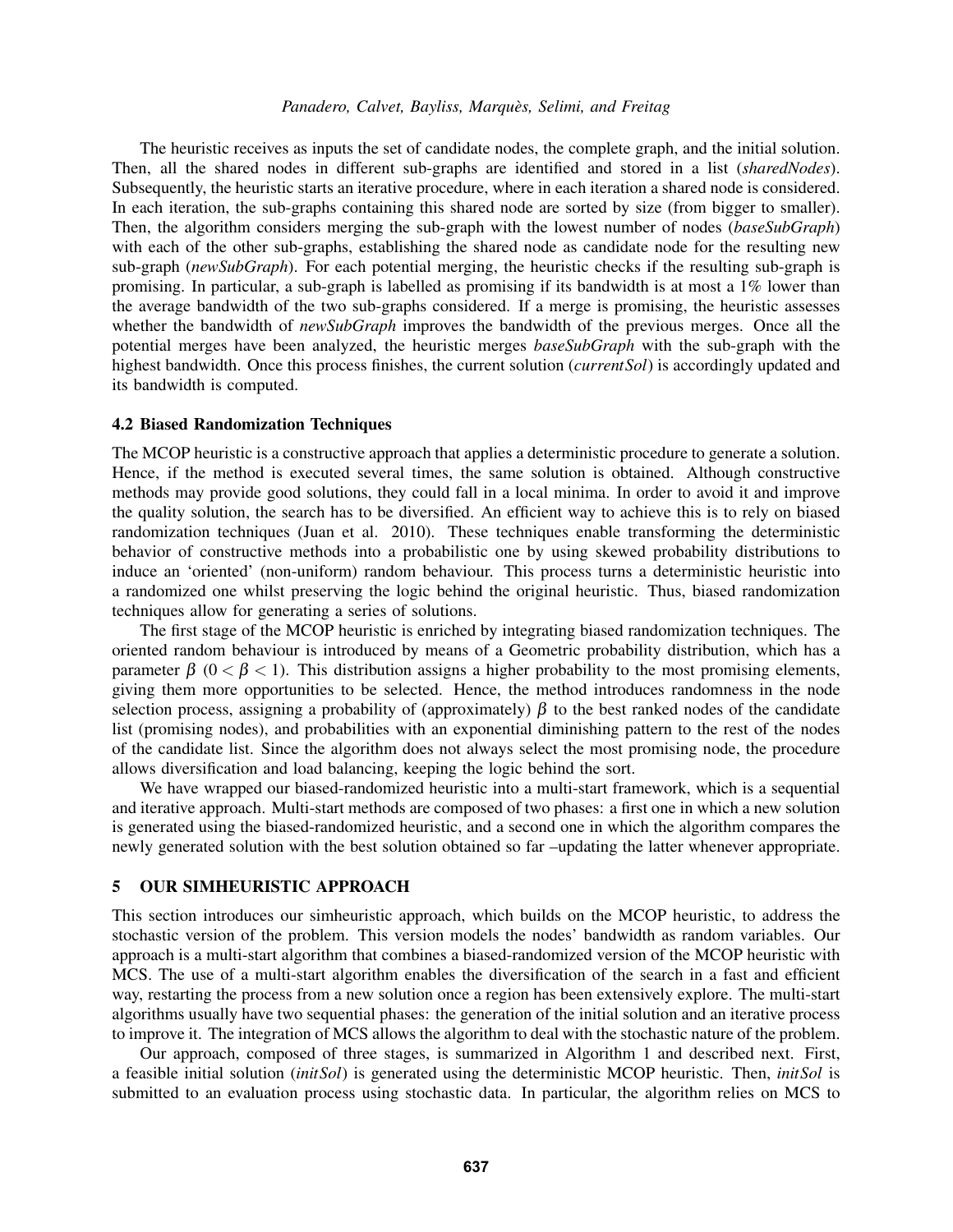The heuristic receives as inputs the set of candidate nodes, the complete graph, and the initial solution. Then, all the shared nodes in different sub-graphs are identified and stored in a list (*sharedNodes*). Subsequently, the heuristic starts an iterative procedure, where in each iteration a shared node is considered. In each iteration, the sub-graphs containing this shared node are sorted by size (from bigger to smaller). Then, the algorithm considers merging the sub-graph with the lowest number of nodes (*baseSubGraph*) with each of the other sub-graphs, establishing the shared node as candidate node for the resulting new sub-graph (*newSubGraph*). For each potential merging, the heuristic checks if the resulting sub-graph is promising. In particular, a sub-graph is labelled as promising if its bandwidth is at most a 1% lower than the average bandwidth of the two sub-graphs considered. If a merge is promising, the heuristic assesses whether the bandwidth of *newSubGraph* improves the bandwidth of the previous merges. Once all the potential merges have been analyzed, the heuristic merges *baseSubGraph* with the sub-graph with the highest bandwidth. Once this process finishes, the current solution (*currentSol*) is accordingly updated and its bandwidth is computed.

### 4.2 Biased Randomization Techniques

The MCOP heuristic is a constructive approach that applies a deterministic procedure to generate a solution. Hence, if the method is executed several times, the same solution is obtained. Although constructive methods may provide good solutions, they could fall in a local minima. In order to avoid it and improve the quality solution, the search has to be diversified. An efficient way to achieve this is to rely on biased randomization techniques [\(Juan et al. 2010\)](#page-10-19). These techniques enable transforming the deterministic behavior of constructive methods into a probabilistic one by using skewed probability distributions to induce an 'oriented' (non-uniform) random behaviour. This process turns a deterministic heuristic into a randomized one whilst preserving the logic behind the original heuristic. Thus, biased randomization techniques allow for generating a series of solutions.

The first stage of the MCOP heuristic is enriched by integrating biased randomization techniques. The oriented random behaviour is introduced by means of a Geometric probability distribution, which has a parameter  $\beta$  (0 <  $\beta$  < 1). This distribution assigns a higher probability to the most promising elements, giving them more opportunities to be selected. Hence, the method introduces randomness in the node selection process, assigning a probability of (approximately)  $\beta$  to the best ranked nodes of the candidate list (promising nodes), and probabilities with an exponential diminishing pattern to the rest of the nodes of the candidate list. Since the algorithm does not always select the most promising node, the procedure allows diversification and load balancing, keeping the logic behind the sort.

We have wrapped our biased-randomized heuristic into a multi-start framework, which is a sequential and iterative approach. Multi-start methods are composed of two phases: a first one in which a new solution is generated using the biased-randomized heuristic, and a second one in which the algorithm compares the newly generated solution with the best solution obtained so far –updating the latter whenever appropriate.

## 5 OUR SIMHEURISTIC APPROACH

This section introduces our simheuristic approach, which builds on the MCOP heuristic, to address the stochastic version of the problem. This version models the nodes' bandwidth as random variables. Our approach is a multi-start algorithm that combines a biased-randomized version of the MCOP heuristic with MCS. The use of a multi-start algorithm enables the diversification of the search in a fast and efficient way, restarting the process from a new solution once a region has been extensively explore. The multi-start algorithms usually have two sequential phases: the generation of the initial solution and an iterative process to improve it. The integration of MCS allows the algorithm to deal with the stochastic nature of the problem.

Our approach, composed of three stages, is summarized in Algorithm [1](#page-6-0) and described next. First, a feasible initial solution (*initSol*) is generated using the deterministic MCOP heuristic. Then, *initSol* is submitted to an evaluation process using stochastic data. In particular, the algorithm relies on MCS to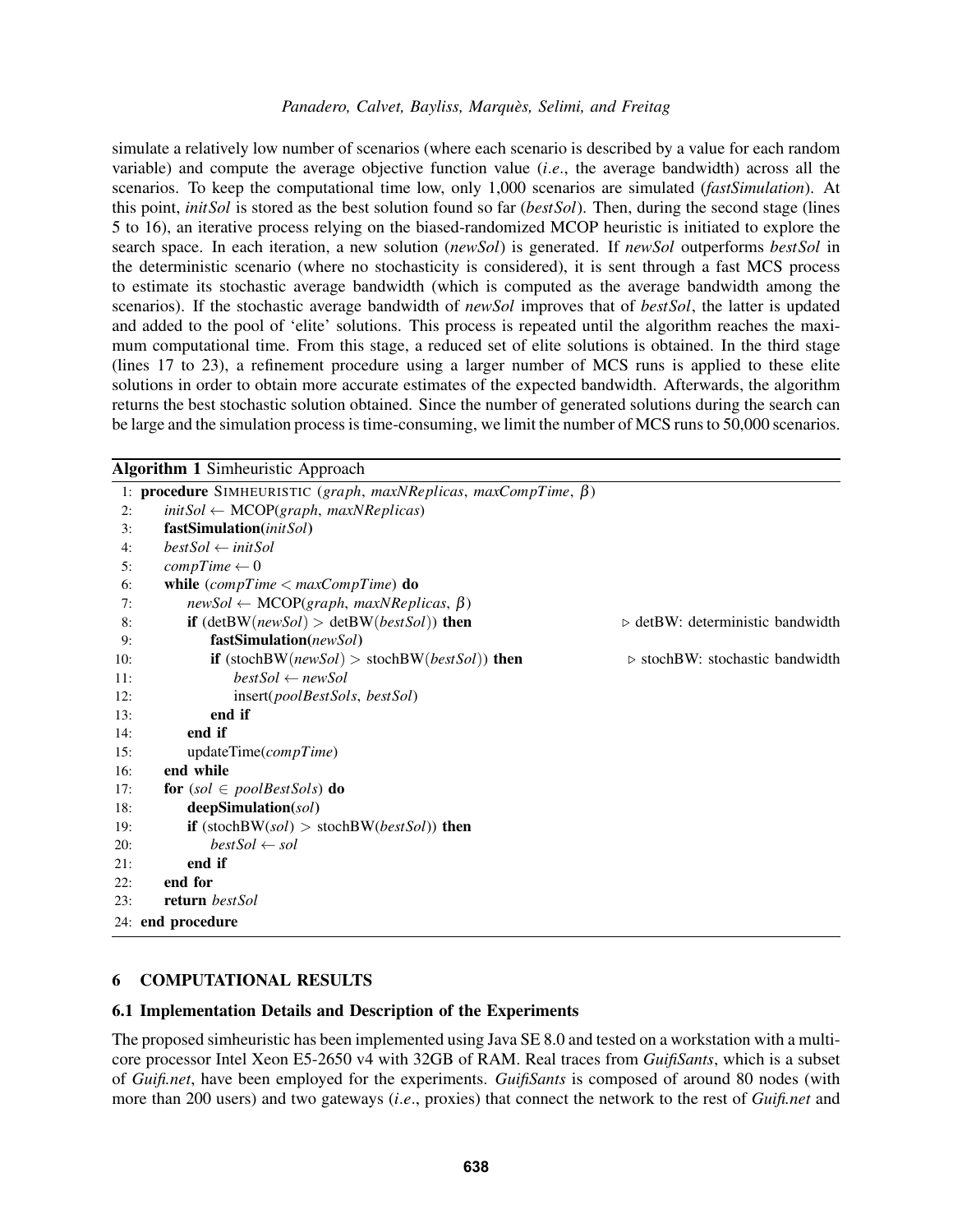simulate a relatively low number of scenarios (where each scenario is described by a value for each random variable) and compute the average objective function value (*i*.*e*., the average bandwidth) across all the scenarios. To keep the computational time low, only 1,000 scenarios are simulated (*fastSimulation*). At this point, *initSol* is stored as the best solution found so far (*bestSol*). Then, during the second stage (lines 5 to 16), an iterative process relying on the biased-randomized MCOP heuristic is initiated to explore the search space. In each iteration, a new solution (*newSol*) is generated. If *newSol* outperforms *bestSol* in the deterministic scenario (where no stochasticity is considered), it is sent through a fast MCS process to estimate its stochastic average bandwidth (which is computed as the average bandwidth among the scenarios). If the stochastic average bandwidth of *newSol* improves that of *bestSol*, the latter is updated and added to the pool of 'elite' solutions. This process is repeated until the algorithm reaches the maximum computational time. From this stage, a reduced set of elite solutions is obtained. In the third stage (lines 17 to 23), a refinement procedure using a larger number of MCS runs is applied to these elite solutions in order to obtain more accurate estimates of the expected bandwidth. Afterwards, the algorithm returns the best stochastic solution obtained. Since the number of generated solutions during the search can be large and the simulation process is time-consuming, we limit the number of MCS runs to 50,000 scenarios.

<span id="page-6-0"></span>

|     | <b>Algorithm 1 Simheuristic Approach</b>                                      |                                                 |
|-----|-------------------------------------------------------------------------------|-------------------------------------------------|
|     | 1: <b>procedure</b> SIMHEURISTIC (graph, maxNReplicas, maxCompTime, $\beta$ ) |                                                 |
| 2:  | $initSol \leftarrow MCOP(graph, maxNReplicas)$                                |                                                 |
| 3:  | fastSimulation(initSol)                                                       |                                                 |
| 4:  | $bestSol \leftarrow initSol$                                                  |                                                 |
| 5:  | $compTime \leftarrow 0$                                                       |                                                 |
| 6:  | while $(compTime < maxCompTime)$ do                                           |                                                 |
| 7:  | $newSol \leftarrow MCOP(graph, maxNReplicas, \beta)$                          |                                                 |
| 8:  | <b>if</b> $(detBW(newSol) > detBW(bestSol)$ then                              | $\triangleright$ detBW: deterministic bandwidth |
| 9:  | fastSimulation(newSol)                                                        |                                                 |
| 10: | <b>if</b> (stochBW( <i>newSol</i> ) > stochBW( <i>bestSol</i> )) <b>then</b>  | $\triangleright$ stochBW: stochastic bandwidth  |
| 11: | $bestSol \leftarrow newSol$                                                   |                                                 |
| 12: | insert(poolBestSols, bestSol)                                                 |                                                 |
| 13: | end if                                                                        |                                                 |
| 14: | end if                                                                        |                                                 |
| 15: | updateTime(compTime)                                                          |                                                 |
| 16: | end while                                                                     |                                                 |
| 17: | for $(sol \in poolBestSols)$ do                                               |                                                 |
| 18: | deepSimulation(sol)                                                           |                                                 |
| 19: | <b>if</b> (stochBW(sol) > stochBW(bestSol)) <b>then</b>                       |                                                 |
| 20: | $bestSol \leftarrow sol$                                                      |                                                 |
| 21: | end if                                                                        |                                                 |
| 22: | end for                                                                       |                                                 |
| 23: | <b>return</b> bestSol                                                         |                                                 |
|     | 24: end procedure                                                             |                                                 |

## 6 COMPUTATIONAL RESULTS

## 6.1 Implementation Details and Description of the Experiments

The proposed simheuristic has been implemented using Java SE 8.0 and tested on a workstation with a multicore processor Intel Xeon E5-2650 v4 with 32GB of RAM. Real traces from *GuifiSants*, which is a subset of *Guifi.net*, have been employed for the experiments. *GuifiSants* is composed of around 80 nodes (with more than 200 users) and two gateways (*i*.*e*., proxies) that connect the network to the rest of *Guifi.net* and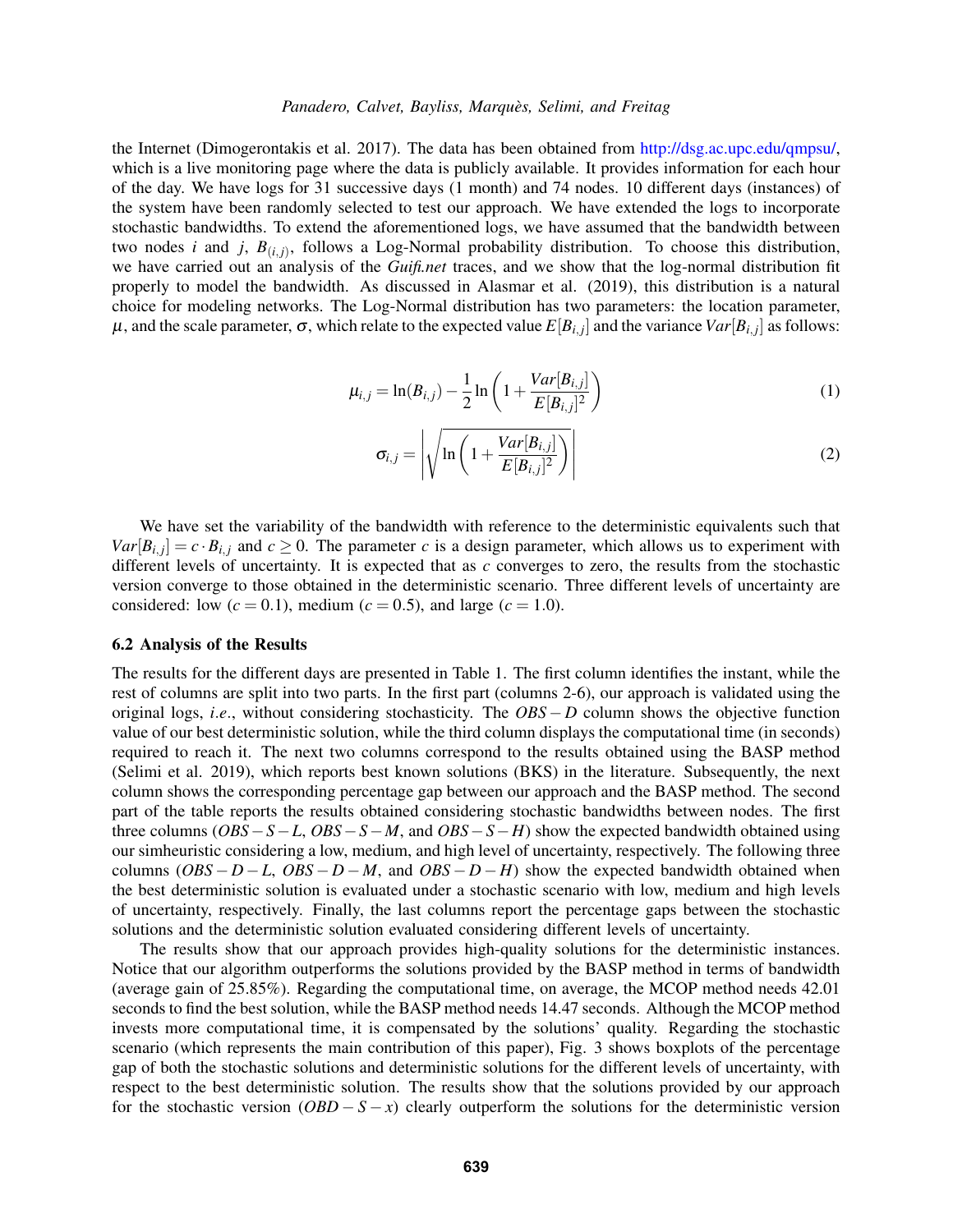the Internet [\(Dimogerontakis et al. 2017\)](#page-10-20). The data has been obtained from [http://dsg.ac.upc.edu/qmpsu/,](http://dsg.ac.upc.edu/qmpsu/) which is a live monitoring page where the data is publicly available. It provides information for each hour of the day. We have logs for 31 successive days (1 month) and 74 nodes. 10 different days (instances) of the system have been randomly selected to test our approach. We have extended the logs to incorporate stochastic bandwidths. To extend the aforementioned logs, we have assumed that the bandwidth between two nodes *i* and *j*,  $B_{(i,j)}$ , follows a Log-Normal probability distribution. To choose this distribution, we have carried out an analysis of the *Guifi.net* traces, and we show that the log-normal distribution fit properly to model the bandwidth. As discussed in [Alasmar et al. \(2019\),](#page-10-21) this distribution is a natural choice for modeling networks. The Log-Normal distribution has two parameters: the location parameter,  $\mu$ , and the scale parameter, σ, which relate to the expected value  $E[B_{i,j}]$  and the variance  $Var[B_{i,j}]$  as follows:

$$
\mu_{i,j} = \ln(B_{i,j}) - \frac{1}{2} \ln \left( 1 + \frac{Var[B_{i,j}]}{E[B_{i,j}]^2} \right)
$$
\n(1)

$$
\sigma_{i,j} = \left| \sqrt{\ln \left( 1 + \frac{Var[B_{i,j}]}{E[B_{i,j}]^2} \right)} \right| \tag{2}
$$

We have set the variability of the bandwidth with reference to the deterministic equivalents such that  $Var[B_{i,j}] = c \cdot B_{i,j}$  and  $c \ge 0$ . The parameter *c* is a design parameter, which allows us to experiment with different levels of uncertainty. It is expected that as *c* converges to zero, the results from the stochastic version converge to those obtained in the deterministic scenario. Three different levels of uncertainty are considered: low  $(c = 0.1)$ , medium  $(c = 0.5)$ , and large  $(c = 1.0)$ .

### 6.2 Analysis of the Results

The results for the different days are presented in Table [1.](#page-9-0) The first column identifies the instant, while the rest of columns are split into two parts. In the first part (columns 2-6), our approach is validated using the original logs, *i*.*e*., without considering stochasticity. The *OBS* −*D* column shows the objective function value of our best deterministic solution, while the third column displays the computational time (in seconds) required to reach it. The next two columns correspond to the results obtained using the BASP method [\(Selimi et al. 2019\)](#page-10-2), which reports best known solutions (BKS) in the literature. Subsequently, the next column shows the corresponding percentage gap between our approach and the BASP method. The second part of the table reports the results obtained considering stochastic bandwidths between nodes. The first three columns (*OBS*−*S*−*L*, *OBS*−*S*−*M*, and *OBS*−*S*−*H*) show the expected bandwidth obtained using our simheuristic considering a low, medium, and high level of uncertainty, respectively. The following three columns  $(OBS - D - L, OBS - D - M,$  and  $OBS - D - H)$  show the expected bandwidth obtained when the best deterministic solution is evaluated under a stochastic scenario with low, medium and high levels of uncertainty, respectively. Finally, the last columns report the percentage gaps between the stochastic solutions and the deterministic solution evaluated considering different levels of uncertainty.

The results show that our approach provides high-quality solutions for the deterministic instances. Notice that our algorithm outperforms the solutions provided by the BASP method in terms of bandwidth (average gain of 25.85%). Regarding the computational time, on average, the MCOP method needs 42.01 seconds to find the best solution, while the BASP method needs 14.47 seconds. Although the MCOP method invests more computational time, it is compensated by the solutions' quality. Regarding the stochastic scenario (which represents the main contribution of this paper), Fig. [3](#page-8-0) shows boxplots of the percentage gap of both the stochastic solutions and deterministic solutions for the different levels of uncertainty, with respect to the best deterministic solution. The results show that the solutions provided by our approach for the stochastic version  $(OBD - S - x)$  clearly outperform the solutions for the deterministic version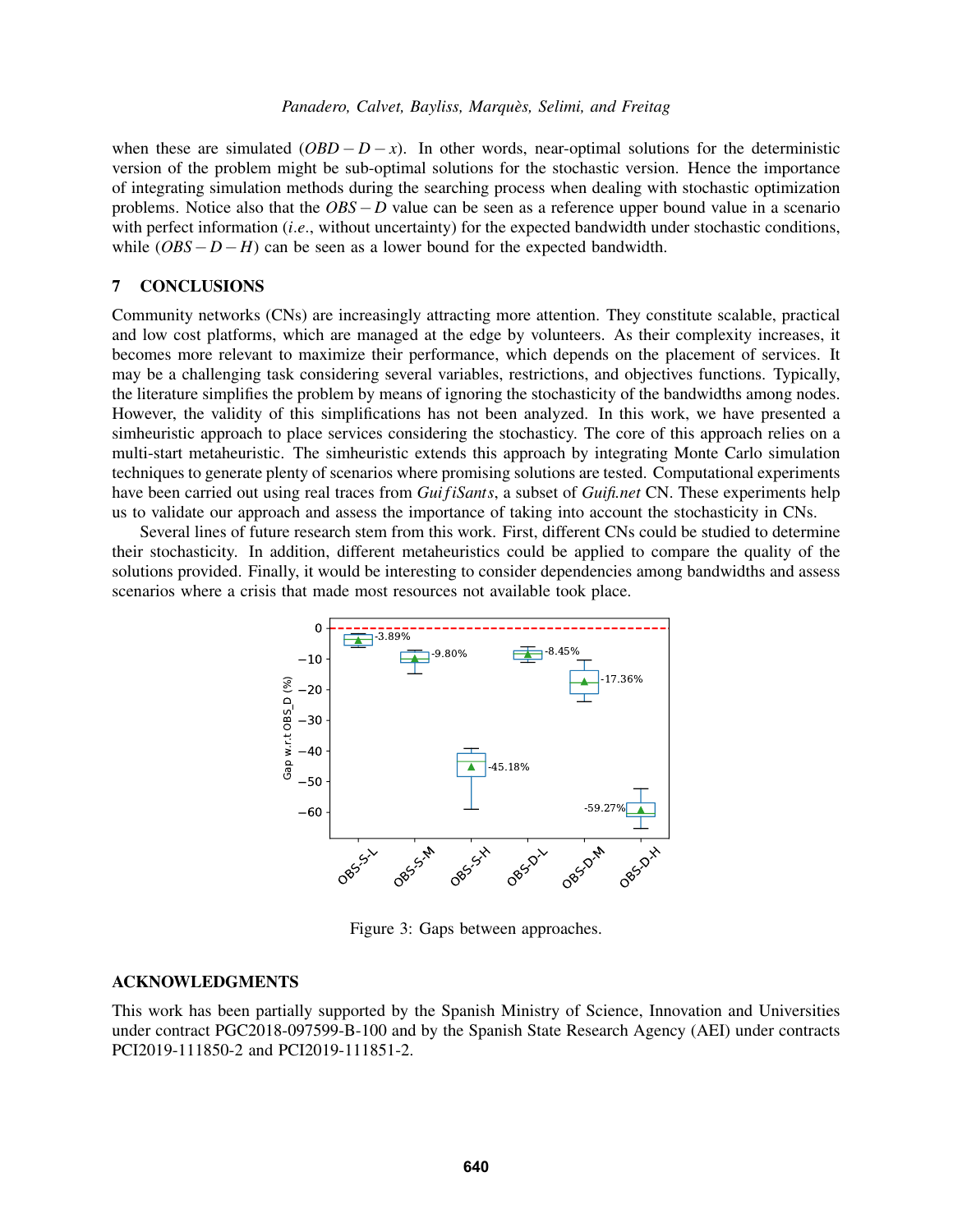when these are simulated  $(OBD - D - x)$ . In other words, near-optimal solutions for the deterministic version of the problem might be sub-optimal solutions for the stochastic version. Hence the importance of integrating simulation methods during the searching process when dealing with stochastic optimization problems. Notice also that the *OBS*−*D* value can be seen as a reference upper bound value in a scenario with perfect information *(i.e.*, without uncertainty) for the expected bandwidth under stochastic conditions, while  $(OBS - D - H)$  can be seen as a lower bound for the expected bandwidth.

## 7 CONCLUSIONS

Community networks (CNs) are increasingly attracting more attention. They constitute scalable, practical and low cost platforms, which are managed at the edge by volunteers. As their complexity increases, it becomes more relevant to maximize their performance, which depends on the placement of services. It may be a challenging task considering several variables, restrictions, and objectives functions. Typically, the literature simplifies the problem by means of ignoring the stochasticity of the bandwidths among nodes. However, the validity of this simplifications has not been analyzed. In this work, we have presented a simheuristic approach to place services considering the stochasticy. The core of this approach relies on a multi-start metaheuristic. The simheuristic extends this approach by integrating Monte Carlo simulation techniques to generate plenty of scenarios where promising solutions are tested. Computational experiments have been carried out using real traces from *Gui fiSants*, a subset of *Guifi.net* CN. These experiments help us to validate our approach and assess the importance of taking into account the stochasticity in CNs.

Several lines of future research stem from this work. First, different CNs could be studied to determine their stochasticity. In addition, different metaheuristics could be applied to compare the quality of the solutions provided. Finally, it would be interesting to consider dependencies among bandwidths and assess scenarios where a crisis that made most resources not available took place.



<span id="page-8-0"></span>Figure 3: Gaps between approaches.

#### ACKNOWLEDGMENTS

This work has been partially supported by the Spanish Ministry of Science, Innovation and Universities under contract PGC2018-097599-B-100 and by the Spanish State Research Agency (AEI) under contracts PCI2019-111850-2 and PCI2019-111851-2.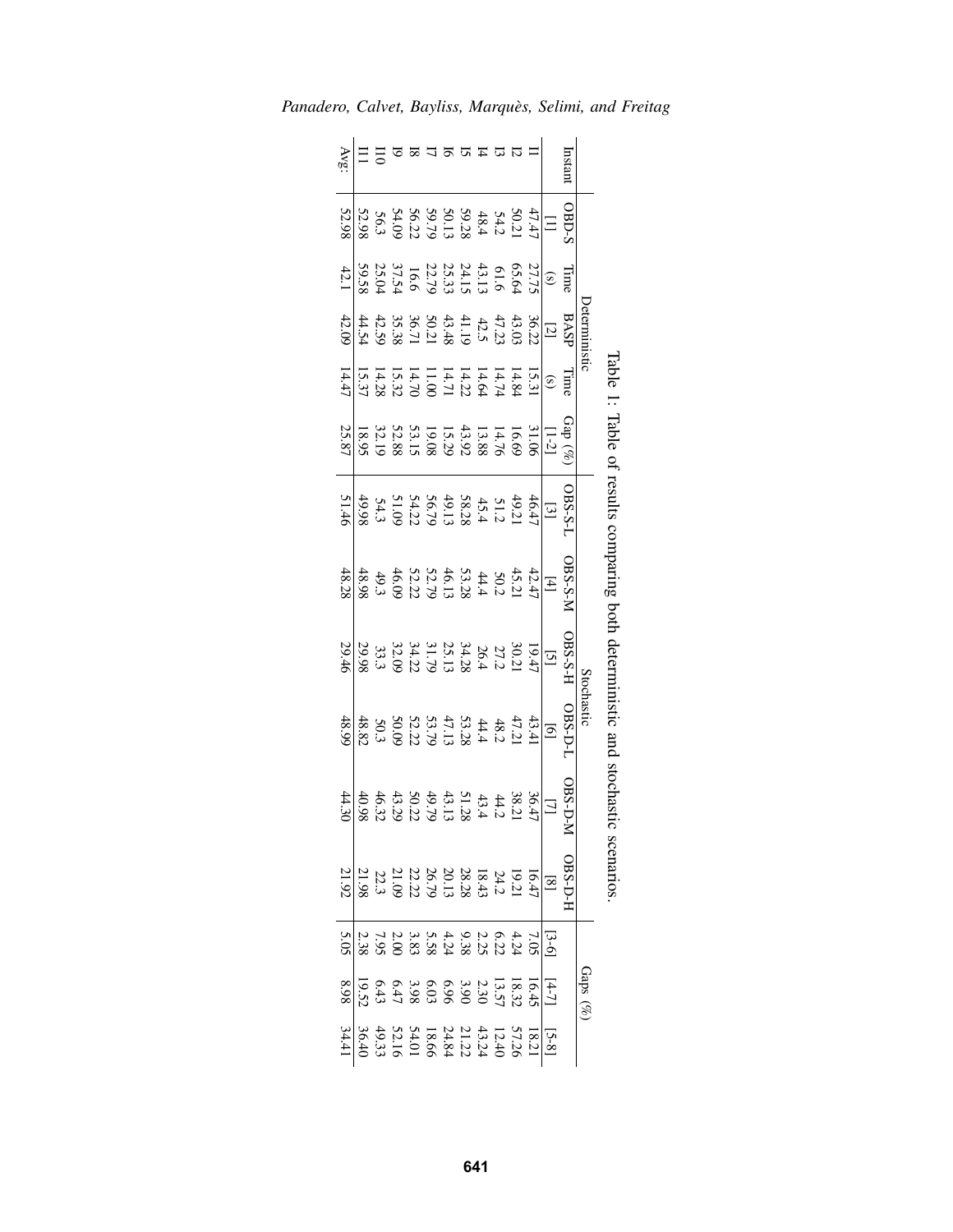|               |       |                                                                                                                                                                                                                                                                                                                                                                                                                                                                     |              | Table 1                                                                                                                                                                                                                          |                                                                                                                                                                                                                                                                                                                                                                                                                                     | : Taple of results comparing poth |                                                                                                                                                                                                     | deterministic and stochastic                                                                                                                                                                                                                                                   |                                                                                                                         | scenarios                                                                                                                                                                                                                                                                                                                                                                |                                                                                                                                                                                                                                                                                                                       |                                                                                                                                                                                                                                                                                                                                                                                                                              |
|---------------|-------|---------------------------------------------------------------------------------------------------------------------------------------------------------------------------------------------------------------------------------------------------------------------------------------------------------------------------------------------------------------------------------------------------------------------------------------------------------------------|--------------|----------------------------------------------------------------------------------------------------------------------------------------------------------------------------------------------------------------------------------|-------------------------------------------------------------------------------------------------------------------------------------------------------------------------------------------------------------------------------------------------------------------------------------------------------------------------------------------------------------------------------------------------------------------------------------|-----------------------------------|-----------------------------------------------------------------------------------------------------------------------------------------------------------------------------------------------------|--------------------------------------------------------------------------------------------------------------------------------------------------------------------------------------------------------------------------------------------------------------------------------|-------------------------------------------------------------------------------------------------------------------------|--------------------------------------------------------------------------------------------------------------------------------------------------------------------------------------------------------------------------------------------------------------------------------------------------------------------------------------------------------------------------|-----------------------------------------------------------------------------------------------------------------------------------------------------------------------------------------------------------------------------------------------------------------------------------------------------------------------|------------------------------------------------------------------------------------------------------------------------------------------------------------------------------------------------------------------------------------------------------------------------------------------------------------------------------------------------------------------------------------------------------------------------------|
|               |       |                                                                                                                                                                                                                                                                                                                                                                                                                                                                     | eterministic |                                                                                                                                                                                                                                  |                                                                                                                                                                                                                                                                                                                                                                                                                                     |                                   |                                                                                                                                                                                                     | Stochastic                                                                                                                                                                                                                                                                     |                                                                                                                         |                                                                                                                                                                                                                                                                                                                                                                          | Gaps $(\%)$                                                                                                                                                                                                                                                                                                           |                                                                                                                                                                                                                                                                                                                                                                                                                              |
| Instar        |       |                                                                                                                                                                                                                                                                                                                                                                                                                                                                     |              | Eimt                                                                                                                                                                                                                             | $3B-S-I$                                                                                                                                                                                                                                                                                                                                                                                                                            | $\sqrt{2.5}$ 80                   |                                                                                                                                                                                                     | <b>OBS-D-1</b>                                                                                                                                                                                                                                                                 | BS-D-1                                                                                                                  | <b>OBS-D-1</b>                                                                                                                                                                                                                                                                                                                                                           |                                                                                                                                                                                                                                                                                                                       |                                                                                                                                                                                                                                                                                                                                                                                                                              |
|               |       | $\begin{array}{c} \text{Time} \\ \text{line} \\ \text{S} \\ \text{S} \\ \text{S} \\ \text{S} \\ \text{S} \\ \text{S} \\ \text{S} \\ \text{S} \\ \text{S} \\ \text{S} \\ \text{S} \\ \text{S} \\ \text{S} \\ \text{S} \\ \text{S} \\ \text{S} \\ \text{S} \\ \text{S} \\ \text{S} \\ \text{S} \\ \text{S} \\ \text{S} \\ \text{S} \\ \text{S} \\ \text{S} \\ \text{S} \\ \text{S} \\ \text{S} \\ \text{S} \\ \text{S} \\ \text{S} \\ \text{S} \\ \text{S} \\ \text{$ |              |                                                                                                                                                                                                                                  |                                                                                                                                                                                                                                                                                                                                                                                                                                     |                                   | $\frac{15}{19}$ $\frac{1}{27}$ $\frac{1}{27}$ $\frac{1}{27}$ $\frac{1}{27}$ $\frac{1}{27}$ $\frac{1}{27}$ $\frac{1}{27}$ $\frac{1}{27}$ $\frac{1}{27}$ $\frac{1}{27}$ $\frac{1}{27}$ $\frac{1}{27}$ | $\boxed{9}$                                                                                                                                                                                                                                                                    |                                                                                                                         |                                                                                                                                                                                                                                                                                                                                                                          |                                                                                                                                                                                                                                                                                                                       |                                                                                                                                                                                                                                                                                                                                                                                                                              |
|               |       |                                                                                                                                                                                                                                                                                                                                                                                                                                                                     |              |                                                                                                                                                                                                                                  |                                                                                                                                                                                                                                                                                                                                                                                                                                     |                                   |                                                                                                                                                                                                     |                                                                                                                                                                                                                                                                                |                                                                                                                         |                                                                                                                                                                                                                                                                                                                                                                          |                                                                                                                                                                                                                                                                                                                       |                                                                                                                                                                                                                                                                                                                                                                                                                              |
|               |       |                                                                                                                                                                                                                                                                                                                                                                                                                                                                     |              |                                                                                                                                                                                                                                  |                                                                                                                                                                                                                                                                                                                                                                                                                                     |                                   |                                                                                                                                                                                                     |                                                                                                                                                                                                                                                                                |                                                                                                                         |                                                                                                                                                                                                                                                                                                                                                                          |                                                                                                                                                                                                                                                                                                                       |                                                                                                                                                                                                                                                                                                                                                                                                                              |
|               |       |                                                                                                                                                                                                                                                                                                                                                                                                                                                                     |              |                                                                                                                                                                                                                                  |                                                                                                                                                                                                                                                                                                                                                                                                                                     |                                   |                                                                                                                                                                                                     |                                                                                                                                                                                                                                                                                |                                                                                                                         |                                                                                                                                                                                                                                                                                                                                                                          |                                                                                                                                                                                                                                                                                                                       |                                                                                                                                                                                                                                                                                                                                                                                                                              |
|               |       |                                                                                                                                                                                                                                                                                                                                                                                                                                                                     |              |                                                                                                                                                                                                                                  |                                                                                                                                                                                                                                                                                                                                                                                                                                     |                                   |                                                                                                                                                                                                     |                                                                                                                                                                                                                                                                                |                                                                                                                         |                                                                                                                                                                                                                                                                                                                                                                          |                                                                                                                                                                                                                                                                                                                       |                                                                                                                                                                                                                                                                                                                                                                                                                              |
| <b>HARARD</b> |       |                                                                                                                                                                                                                                                                                                                                                                                                                                                                     |              |                                                                                                                                                                                                                                  |                                                                                                                                                                                                                                                                                                                                                                                                                                     |                                   |                                                                                                                                                                                                     |                                                                                                                                                                                                                                                                                |                                                                                                                         |                                                                                                                                                                                                                                                                                                                                                                          |                                                                                                                                                                                                                                                                                                                       |                                                                                                                                                                                                                                                                                                                                                                                                                              |
|               |       |                                                                                                                                                                                                                                                                                                                                                                                                                                                                     |              |                                                                                                                                                                                                                                  |                                                                                                                                                                                                                                                                                                                                                                                                                                     |                                   |                                                                                                                                                                                                     |                                                                                                                                                                                                                                                                                |                                                                                                                         |                                                                                                                                                                                                                                                                                                                                                                          |                                                                                                                                                                                                                                                                                                                       |                                                                                                                                                                                                                                                                                                                                                                                                                              |
|               |       |                                                                                                                                                                                                                                                                                                                                                                                                                                                                     |              |                                                                                                                                                                                                                                  |                                                                                                                                                                                                                                                                                                                                                                                                                                     |                                   |                                                                                                                                                                                                     |                                                                                                                                                                                                                                                                                |                                                                                                                         |                                                                                                                                                                                                                                                                                                                                                                          |                                                                                                                                                                                                                                                                                                                       |                                                                                                                                                                                                                                                                                                                                                                                                                              |
|               |       |                                                                                                                                                                                                                                                                                                                                                                                                                                                                     |              |                                                                                                                                                                                                                                  |                                                                                                                                                                                                                                                                                                                                                                                                                                     |                                   |                                                                                                                                                                                                     |                                                                                                                                                                                                                                                                                |                                                                                                                         |                                                                                                                                                                                                                                                                                                                                                                          |                                                                                                                                                                                                                                                                                                                       |                                                                                                                                                                                                                                                                                                                                                                                                                              |
|               |       |                                                                                                                                                                                                                                                                                                                                                                                                                                                                     |              |                                                                                                                                                                                                                                  |                                                                                                                                                                                                                                                                                                                                                                                                                                     |                                   |                                                                                                                                                                                                     |                                                                                                                                                                                                                                                                                |                                                                                                                         |                                                                                                                                                                                                                                                                                                                                                                          |                                                                                                                                                                                                                                                                                                                       |                                                                                                                                                                                                                                                                                                                                                                                                                              |
|               |       |                                                                                                                                                                                                                                                                                                                                                                                                                                                                     |              |                                                                                                                                                                                                                                  |                                                                                                                                                                                                                                                                                                                                                                                                                                     |                                   |                                                                                                                                                                                                     |                                                                                                                                                                                                                                                                                |                                                                                                                         |                                                                                                                                                                                                                                                                                                                                                                          |                                                                                                                                                                                                                                                                                                                       |                                                                                                                                                                                                                                                                                                                                                                                                                              |
|               |       |                                                                                                                                                                                                                                                                                                                                                                                                                                                                     |              | $\frac{(8)}{12}$ $\frac{(8)}{3}$ $\frac{(8)}{3}$ $\frac{(8)}{3}$ $\frac{(8)}{3}$ $\frac{(8)}{3}$ $\frac{(8)}{3}$ $\frac{(8)}{3}$ $\frac{(8)}{3}$ $\frac{(8)}{3}$ $\frac{(8)}{3}$ $\frac{(8)}{3}$ $\frac{(8)}{3}$ $\frac{(8)}{3}$ | $\begin{array}{r} \n 13 \\  \hline\n 492 \\  \hline\n 744 \\  \hline\n 145 \\  \hline\n 146 \\  \hline\n 147 \\  \hline\n 148 \\  \hline\n 149 \\  \hline\n 149 \\  \hline\n 149 \\  \hline\n 149 \\  \hline\n 149 \\  \hline\n 149 \\  \hline\n 149 \\  \hline\n 149 \\  \hline\n 149 \\  \hline\n 149 \\  \hline\n 149 \\  \hline\n 149 \\  \hline\n 149 \\  \hline\n 149 \\  \hline\n 149 \\  \hline\n 149 \\  \hline\n 149 \\ $ |                                   |                                                                                                                                                                                                     | $\begin{array}{cccc}\n43.4 & 43.4 & 43.4 & 43.4 & 43.4 & 43.4 & 43.4 & 43.4 & 43.4 & 43.4 & 43.4 & 43.4 & 43.4 & 43.4 & 43.4 & 44.4 & 45.4 & 46.4 & 47.4 & 48.4 & 40.4 & 40.4 & 45.4 & 46.4 & 47.4 & 48.4 & 40.4 & 45.4 & 46.4 & 47.4 & 48.4 & 48.4 & 48.4 & 48.4 & 48.4 & 48$ | $\begin{array}{c} 36.874 \\ 38.811 \\ 21.14 \\ 33.15 \\ 44.16 \\ 50.07 \\ 50.07 \\ 50.08 \\ 70.98 \\ 90.98 \end{array}$ | $\begin{array}{r} \boxed{18} \\ \boxed{16} \\ \hline 21 \\ \hline 13 \\ \end{array} \begin{array}{l} 24 \\ 24 \\ 25 \\ 26 \\ 27 \\ 28 \\ 29 \\ 20 \\ 20 \\ 21 \\ 23 \\ 24 \\ 26 \\ 27 \\ 28 \\ 28 \\ 29 \\ 20 \\ 20 \\ 21 \\ 23 \\ 24 \\ 26 \\ 27 \\ 28 \\ 29 \\ 20 \\ 20 \\ 21 \\ 23 \\ 24 \\ 26 \\ 27 \\ 28 \\ 29 \\ 20 \\ 20 \\ 20 \\ 20 \\ 20 \\ 20 \\ 20 \\ 20 \\ $ | $\frac{11}{10}$ $\frac{1}{2}$ $\frac{1}{3}$ $\frac{2}{3}$ $\frac{3}{2}$ $\frac{3}{2}$ $\frac{3}{2}$ $\frac{3}{2}$ $\frac{3}{2}$ $\frac{3}{2}$ $\frac{3}{2}$ $\frac{3}{2}$ $\frac{3}{2}$ $\frac{3}{2}$ $\frac{3}{2}$ $\frac{3}{2}$ $\frac{3}{2}$ $\frac{3}{2}$ $\frac{3}{2}$ $\frac{3}{2}$ $\frac{3}{2}$ $\frac{3}{2}$ | $\begin{array}{r} \boxed{18} \\ \hline 871 \\ 874 \\ \hline \end{array} \begin{array}{l} 541 \\ 543 \\ 135 \\ \hline \end{array} \begin{array}{l} 741 \\ 243 \\ 245 \\ \hline \end{array} \begin{array}{l} 741 \\ 243 \\ 243 \\ \hline \end{array} \begin{array}{l} 741 \\ 243 \\ 243 \\ \hline \end{array} \begin{array}{l} 741 \\ 243 \\ \hline \end{array} \end{array} \begin{array}{l} 741 \\ 243 \\ \hline \end{array}$ |
| AVS           | 52.98 | 42.1                                                                                                                                                                                                                                                                                                                                                                                                                                                                | 42.09        |                                                                                                                                                                                                                                  |                                                                                                                                                                                                                                                                                                                                                                                                                                     |                                   |                                                                                                                                                                                                     |                                                                                                                                                                                                                                                                                | $\frac{44.30}{44.30}$                                                                                                   |                                                                                                                                                                                                                                                                                                                                                                          |                                                                                                                                                                                                                                                                                                                       |                                                                                                                                                                                                                                                                                                                                                                                                                              |

<span id="page-9-0"></span>*Panadero, Calvet, Bayliss, Marques, Selimi, and Freitag `*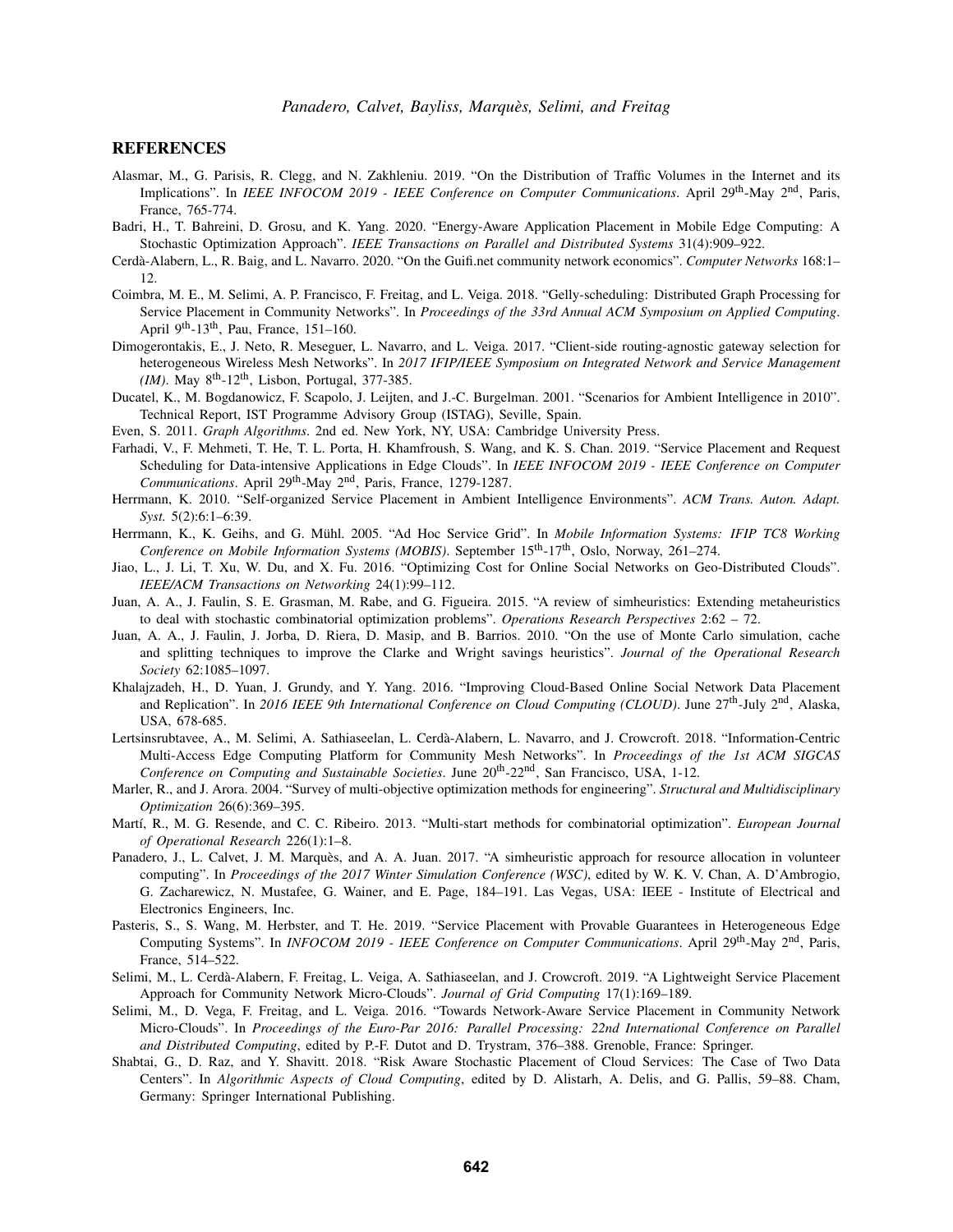### **REFERENCES**

- <span id="page-10-21"></span>Alasmar, M., G. Parisis, R. Clegg, and N. Zakhleniu. 2019. "On the Distribution of Traffic Volumes in the Internet and its Implications". In *IEEE INFOCOM 2019 - IEEE Conference on Computer Communications*. April 29th-May 2nd, Paris, France, 765-774.
- <span id="page-10-16"></span>Badri, H., T. Bahreini, D. Grosu, and K. Yang. 2020. "Energy-Aware Application Placement in Mobile Edge Computing: A Stochastic Optimization Approach". *IEEE Transactions on Parallel and Distributed Systems* 31(4):909–922.
- <span id="page-10-0"></span>Cerda-Alabern, L., R. Baig, and L. Navarro. 2020. "On the Guifi.net community network economics". ` *Computer Networks* 168:1– 12.
- <span id="page-10-10"></span>Coimbra, M. E., M. Selimi, A. P. Francisco, F. Freitag, and L. Veiga. 2018. "Gelly-scheduling: Distributed Graph Processing for Service Placement in Community Networks". In *Proceedings of the 33rd Annual ACM Symposium on Applied Computing*. April 9th-13th, Pau, France, 151–160.
- <span id="page-10-20"></span>Dimogerontakis, E., J. Neto, R. Meseguer, L. Navarro, and L. Veiga. 2017. "Client-side routing-agnostic gateway selection for heterogeneous Wireless Mesh Networks". In *2017 IFIP/IEEE Symposium on Integrated Network and Service Management (IM)*. May  $8^{th}$ -12<sup>th</sup>, Lisbon, Portugal, 377-385.
- <span id="page-10-12"></span>Ducatel, K., M. Bogdanowicz, F. Scapolo, J. Leijten, and J.-C. Burgelman. 2001. "Scenarios for Ambient Intelligence in 2010". Technical Report, IST Programme Advisory Group (ISTAG), Seville, Spain.
- <span id="page-10-18"></span>Even, S. 2011. *Graph Algorithms*. 2nd ed. New York, NY, USA: Cambridge University Press.
- <span id="page-10-6"></span>Farhadi, V., F. Mehmeti, T. He, T. L. Porta, H. Khamfroush, S. Wang, and K. S. Chan. 2019. "Service Placement and Request Scheduling for Data-intensive Applications in Edge Clouds". In *IEEE INFOCOM 2019 - IEEE Conference on Computer Communications*. April 29th-May 2nd, Paris, France, 1279-1287.
- <span id="page-10-11"></span>Herrmann, K. 2010. "Self-organized Service Placement in Ambient Intelligence Environments". *ACM Trans. Auton. Adapt. Syst.* 5(2):6:1–6:39.
- <span id="page-10-13"></span>Herrmann, K., K. Geihs, and G. Mühl. 2005. "Ad Hoc Service Grid". In Mobile Information Systems: IFIP TC8 Working *Conference on Mobile Information Systems (MOBIS)*. September 15<sup>th</sup>-17<sup>th</sup>, Oslo, Norway, 261–274.
- <span id="page-10-7"></span>Jiao, L., J. Li, T. Xu, W. Du, and X. Fu. 2016. "Optimizing Cost for Online Social Networks on Geo-Distributed Clouds". *IEEE/ACM Transactions on Networking* 24(1):99–112.
- <span id="page-10-3"></span>Juan, A. A., J. Faulin, S. E. Grasman, M. Rabe, and G. Figueira. 2015. "A review of simheuristics: Extending metaheuristics to deal with stochastic combinatorial optimization problems". *Operations Research Perspectives* 2:62 – 72.
- <span id="page-10-19"></span>Juan, A. A., J. Faulin, J. Jorba, D. Riera, D. Masip, and B. Barrios. 2010. "On the use of Monte Carlo simulation, cache and splitting techniques to improve the Clarke and Wright savings heuristics". *Journal of the Operational Research Society* 62:1085–1097.
- <span id="page-10-8"></span>Khalajzadeh, H., D. Yuan, J. Grundy, and Y. Yang. 2016. "Improving Cloud-Based Online Social Network Data Placement and Replication". In 2016 IEEE 9th International Conference on Cloud Computing (CLOUD). June 27<sup>th</sup>-July 2<sup>nd</sup>, Alaska, USA, 678-685.
- <span id="page-10-1"></span>Lertsinsrubtavee, A., M. Selimi, A. Sathiaseelan, L. Cerda-Alabern, L. Navarro, and J. Crowcroft. 2018. "Information-Centric ` Multi-Access Edge Computing Platform for Community Mesh Networks". In *Proceedings of the 1st ACM SIGCAS Conference on Computing and Sustainable Societies*. June  $20^{th}$ - $22^{nd}$ , San Francisco, USA, 1-12.
- <span id="page-10-17"></span>Marler, R., and J. Arora. 2004. "Survey of multi-objective optimization methods for engineering". *Structural and Multidisciplinary Optimization* 26(6):369–395.
- <span id="page-10-4"></span>Mart´ı, R., M. G. Resende, and C. C. Ribeiro. 2013. "Multi-start methods for combinatorial optimization". *European Journal of Operational Research* 226(1):1–8.
- <span id="page-10-14"></span>Panadero, J., L. Calvet, J. M. Marquès, and A. A. Juan. 2017. "A simheuristic approach for resource allocation in volunteer computing". In *Proceedings of the 2017 Winter Simulation Conference (WSC)*, edited by W. K. V. Chan, A. D'Ambrogio, G. Zacharewicz, N. Mustafee, G. Wainer, and E. Page, 184–191. Las Vegas, USA: IEEE - Institute of Electrical and Electronics Engineers, Inc.
- <span id="page-10-5"></span>Pasteris, S., S. Wang, M. Herbster, and T. He. 2019. "Service Placement with Provable Guarantees in Heterogeneous Edge Computing Systems". In *INFOCOM 2019 - IEEE Conference on Computer Communications*. April 29th-May 2nd, Paris, France, 514–522.
- <span id="page-10-2"></span>Selimi, M., L. Cerda-Alabern, F. Freitag, L. Veiga, A. Sathiaseelan, and J. Crowcroft. 2019. "A Lightweight Service Placement ` Approach for Community Network Micro-Clouds". *Journal of Grid Computing* 17(1):169–189.
- <span id="page-10-9"></span>Selimi, M., D. Vega, F. Freitag, and L. Veiga. 2016. "Towards Network-Aware Service Placement in Community Network Micro-Clouds". In *Proceedings of the Euro-Par 2016: Parallel Processing: 22nd International Conference on Parallel and Distributed Computing*, edited by P.-F. Dutot and D. Trystram, 376–388. Grenoble, France: Springer.
- <span id="page-10-15"></span>Shabtai, G., D. Raz, and Y. Shavitt. 2018. "Risk Aware Stochastic Placement of Cloud Services: The Case of Two Data Centers". In *Algorithmic Aspects of Cloud Computing*, edited by D. Alistarh, A. Delis, and G. Pallis, 59–88. Cham, Germany: Springer International Publishing.